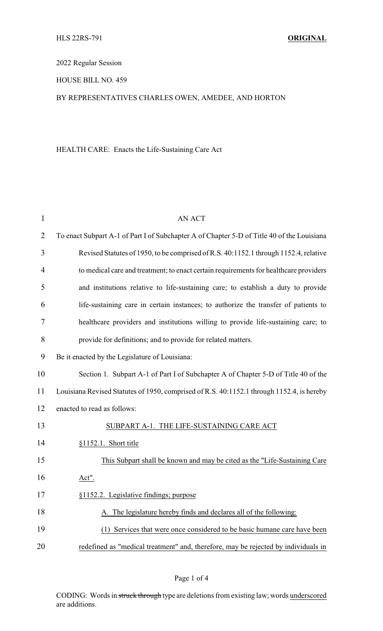2022 Regular Session

HOUSE BILL NO. 459

## BY REPRESENTATIVES CHARLES OWEN, AMEDEE, AND HORTON

## HEALTH CARE: Enacts the Life-Sustaining Care Act

| $\mathbf{1}$   | <b>AN ACT</b>                                                                              |
|----------------|--------------------------------------------------------------------------------------------|
| $\overline{2}$ | To enact Subpart A-1 of Part I of Subchapter A of Chapter 5-D of Title 40 of the Louisiana |
| 3              | Revised Statutes of 1950, to be comprised of R.S. 40:1152.1 through 1152.4, relative       |
| $\overline{4}$ | to medical care and treatment; to enact certain requirements for healthcare providers      |
| 5              | and institutions relative to life-sustaining care; to establish a duty to provide          |
| 6              | life-sustaining care in certain instances; to authorize the transfer of patients to        |
| 7              | healthcare providers and institutions willing to provide life-sustaining care; to          |
| 8              | provide for definitions; and to provide for related matters.                               |
| 9              | Be it enacted by the Legislature of Louisiana:                                             |
| 10             | Section 1. Subpart A-1 of Part I of Subchapter A of Chapter 5-D of Title 40 of the         |
| 11             | Louisiana Revised Statutes of 1950, comprised of R.S. 40:1152.1 through 1152.4, is hereby  |
| 12             | enacted to read as follows:                                                                |
| 13             | SUBPART A-1. THE LIFE-SUSTAINING CARE ACT                                                  |
| 14             | $§1152.1$ . Short title                                                                    |
| 15             | This Subpart shall be known and may be cited as the "Life-Sustaining Care"                 |
| 16             | Act".                                                                                      |
| 17             | §1152.2. Legislative findings; purpose                                                     |
| 18             | A. The legislature hereby finds and declares all of the following:                         |
| 19             | (1) Services that were once considered to be basic humane care have been                   |
| 20             | redefined as "medical treatment" and, therefore, may be rejected by individuals in         |

Page 1 of 4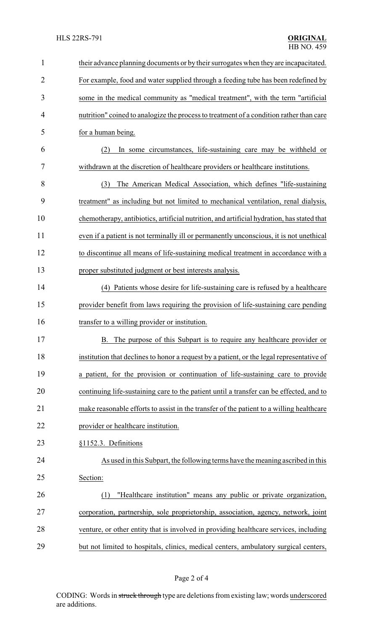| $\mathbf{1}$   | their advance planning documents or by their surrogates when they are incapacitated.       |
|----------------|--------------------------------------------------------------------------------------------|
| $\overline{2}$ | For example, food and water supplied through a feeding tube has been redefined by          |
| 3              | some in the medical community as "medical treatment", with the term "artificial            |
| 4              | nutrition" coined to analogize the process to treatment of a condition rather than care    |
| 5              | for a human being.                                                                         |
| 6              | In some circumstances, life-sustaining care may be withheld or<br>(2)                      |
| 7              | withdrawn at the discretion of healthcare providers or healthcare institutions.            |
| 8              | The American Medical Association, which defines "life-sustaining<br>(3)                    |
| 9              | treatment" as including but not limited to mechanical ventilation, renal dialysis,         |
| 10             | chemotherapy, antibiotics, artificial nutrition, and artificial hydration, has stated that |
| 11             | even if a patient is not terminally ill or permanently unconscious, it is not unethical    |
| 12             | to discontinue all means of life-sustaining medical treatment in accordance with a         |
| 13             | proper substituted judgment or best interests analysis.                                    |
| 14             | (4) Patients whose desire for life-sustaining care is refused by a healthcare              |
| 15             | provider benefit from laws requiring the provision of life-sustaining care pending         |
| 16             | transfer to a willing provider or institution.                                             |
| 17             | The purpose of this Subpart is to require any healthcare provider or<br><b>B.</b>          |
| 18             | institution that declines to honor a request by a patient, or the legal representative of  |
| 19             | a patient, for the provision or continuation of life-sustaining care to provide            |
| 20             | continuing life-sustaining care to the patient until a transfer can be effected, and to    |
| 21             | make reasonable efforts to assist in the transfer of the patient to a willing healthcare   |
| 22             | provider or healthcare institution.                                                        |
| 23             | §1152.3. Definitions                                                                       |
| 24             | As used in this Subpart, the following terms have the meaning ascribed in this             |
| 25             | Section:                                                                                   |
| 26             | "Healthcare institution" means any public or private organization,<br>(1)                  |
| 27             | corporation, partnership, sole proprietorship, association, agency, network, joint         |
| 28             | venture, or other entity that is involved in providing healthcare services, including      |
| 29             | but not limited to hospitals, clinics, medical centers, ambulatory surgical centers,       |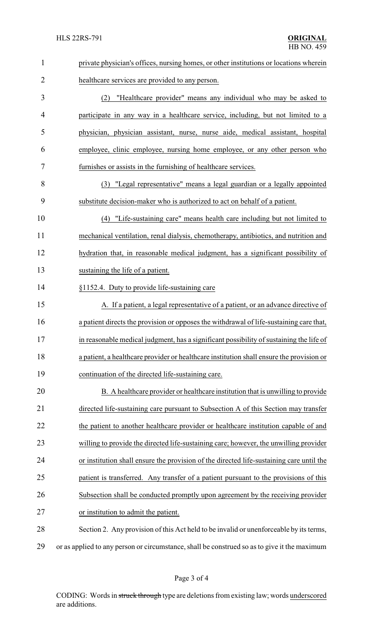| $\mathbf{1}$   | private physician's offices, nursing homes, or other institutions or locations wherein       |  |  |
|----------------|----------------------------------------------------------------------------------------------|--|--|
| $\overline{2}$ | healthcare services are provided to any person.                                              |  |  |
| 3              | (2) "Healthcare provider" means any individual who may be asked to                           |  |  |
| 4              | participate in any way in a healthcare service, including, but not limited to a              |  |  |
| 5              | physician, physician assistant, nurse, nurse aide, medical assistant, hospital               |  |  |
| 6              | employee, clinic employee, nursing home employee, or any other person who                    |  |  |
| 7              | furnishes or assists in the furnishing of healthcare services.                               |  |  |
| 8              | (3) "Legal representative" means a legal guardian or a legally appointed                     |  |  |
| 9              | substitute decision-maker who is authorized to act on behalf of a patient.                   |  |  |
| 10             | (4) "Life-sustaining care" means health care including but not limited to                    |  |  |
| 11             | mechanical ventilation, renal dialysis, chemotherapy, antibiotics, and nutrition and         |  |  |
| 12             | hydration that, in reasonable medical judgment, has a significant possibility of             |  |  |
| 13             | sustaining the life of a patient.                                                            |  |  |
| 14             | §1152.4. Duty to provide life-sustaining care                                                |  |  |
| 15             | A. If a patient, a legal representative of a patient, or an advance directive of             |  |  |
| 16             | a patient directs the provision or opposes the withdrawal of life-sustaining care that,      |  |  |
| 17             | in reasonable medical judgment, has a significant possibility of sustaining the life of      |  |  |
| 18             | a patient, a healthcare provider or healthcare institution shall ensure the provision or     |  |  |
| 19             | continuation of the directed life-sustaining care.                                           |  |  |
| 20             | B. A healthcare provider or healthcare institution that is unwilling to provide              |  |  |
| 21             | directed life-sustaining care pursuant to Subsection A of this Section may transfer          |  |  |
| 22             | the patient to another healthcare provider or healthcare institution capable of and          |  |  |
| 23             | willing to provide the directed life-sustaining care; however, the unwilling provider        |  |  |
| 24             | or institution shall ensure the provision of the directed life-sustaining care until the     |  |  |
| 25             | patient is transferred. Any transfer of a patient pursuant to the provisions of this         |  |  |
| 26             | Subsection shall be conducted promptly upon agreement by the receiving provider              |  |  |
| 27             | or institution to admit the patient.                                                         |  |  |
| 28             | Section 2. Any provision of this Act held to be invalid or unenforceable by its terms,       |  |  |
| 29             | or as applied to any person or circumstance, shall be construed so as to give it the maximum |  |  |